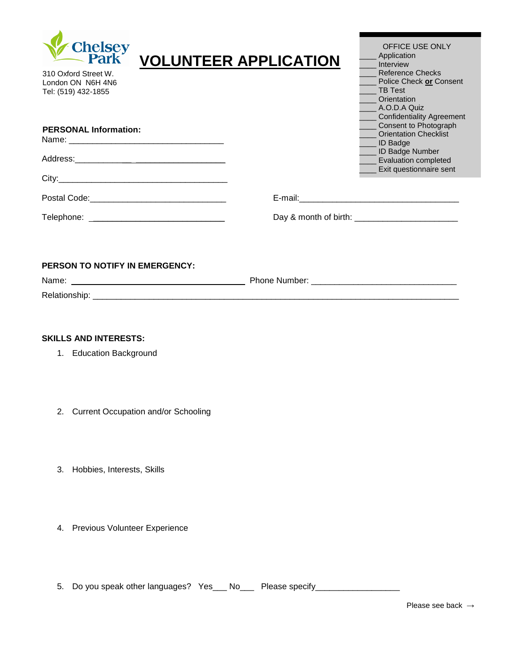

| <b>VOLUNTEER APPLICATION</b> |
|------------------------------|
|                              |

310 Oxford Street W. London ON N6H 4N6 Tel: (519) 432-1855

| OFFICE USE ONLY                  |
|----------------------------------|
| Application                      |
| Interview                        |
| <b>Reference Checks</b>          |
| Police Check or Consent          |
| <b>TB Test</b>                   |
| Orientation                      |
| A.O.D.A Quiz                     |
| <b>Confidentiality Agreement</b> |
| Consent to Photograph            |
| <b>Orientation Checklist</b>     |
| <b>ID Badge</b>                  |
| <b>ID Badge Number</b>           |
| <b>Evaluation completed</b>      |
| Exit questionnaire sent          |
|                                  |

|  |  |  | <b>PERSONAL Information:</b> |  |
|--|--|--|------------------------------|--|
|  |  |  |                              |  |

|                                | <b>UIICHIMMUIL UIICUNIST</b><br><b>ID Badge</b>                           |
|--------------------------------|---------------------------------------------------------------------------|
|                                | ID Badge Number<br><b>Evaluation completed</b><br>Exit questionnaire sent |
|                                |                                                                           |
| Postal Code: 2000 Postal Code: |                                                                           |
|                                |                                                                           |

## **PERSON TO NOTIFY IN EMERGENCY:**

| Name.             | <b>Dhono</b><br>'per |
|-------------------|----------------------|
| ∘اہ D<br>ווופווטו |                      |

## **SKILLS AND INTERESTS:**

- 1. Education Background
- 2. Current Occupation and/or Schooling
- 3. Hobbies, Interests, Skills
- 4. Previous Volunteer Experience

5. Do you speak other languages? Yes\_\_\_ No\_\_\_\_ Please specify\_